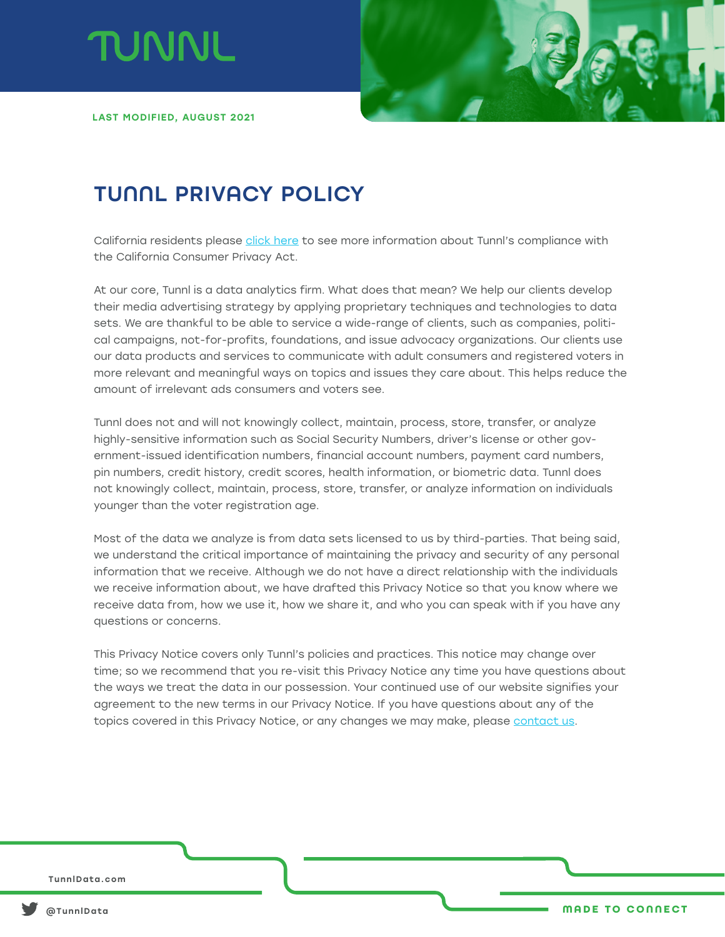



LAST MODIFIED, AUGUST 2021

# TUNNL PRIVACY POLICY

California residents please click here to see more information about Tunnl's compliance with the California Consumer Privacy Act.

At our core, Tunnl is a data analytics firm. What does that mean? We help our clients develop their media advertising strategy by applying proprietary techniques and technologies to data sets. We are thankful to be able to service a wide-range of clients, such as companies, political campaigns, not-for-profits, foundations, and issue advocacy organizations. Our clients use our data products and services to communicate with adult consumers and registered voters in more relevant and meaningful ways on topics and issues they care about. This helps reduce the amount of irrelevant ads consumers and voters see.

Tunnl does not and will not knowingly collect, maintain, process, store, transfer, or analyze highly-sensitive information such as Social Security Numbers, driver's license or other government-issued identification numbers, financial account numbers, payment card numbers, pin numbers, credit history, credit scores, health information, or biometric data. Tunnl does not knowingly collect, maintain, process, store, transfer, or analyze information on individuals younger than the voter registration age.

Most of the data we analyze is from data sets licensed to us by third-parties. That being said, we understand the critical importance of maintaining the privacy and security of any personal information that we receive. Although we do not have a direct relationship with the individuals we receive information about, we have drafted this Privacy Notice so that you know where we receive data from, how we use it, how we share it, and who you can speak with if you have any questions or concerns.

This Privacy Notice covers only Tunnl's policies and practices. This notice may change over time; so we recommend that you re-visit this Privacy Notice any time you have questions about the ways we treat the data in our possession. Your continued use of our website signifies your agreement to the new terms in our Privacy Notice. If you have questions about any of the topics covered in this Privacy Notice, or any changes we may make, please contact us.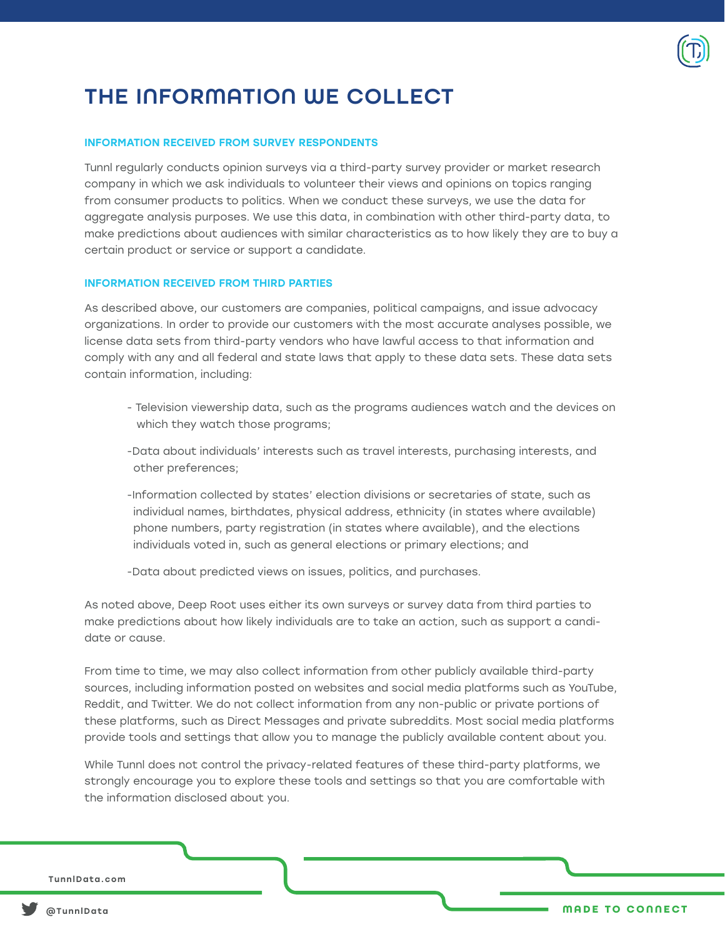

# THE INFORMATION WE COLLECT

#### INFORMATION RECEIVED FROM SURVEY RESPONDENTS

Tunnl regularly conducts opinion surveys via a third-party survey provider or market research company in which we ask individuals to volunteer their views and opinions on topics ranging from consumer products to politics. When we conduct these surveys, we use the data for aggregate analysis purposes. We use this data, in combination with other third-party data, to make predictions about audiences with similar characteristics as to how likely they are to buy a certain product or service or support a candidate.

#### INFORMATION RECEIVED FROM THIRD PARTIES

As described above, our customers are companies, political campaigns, and issue advocacy organizations. In order to provide our customers with the most accurate analyses possible, we license data sets from third-party vendors who have lawful access to that information and comply with any and all federal and state laws that apply to these data sets. These data sets contain information, including:

- Television viewership data, such as the programs audiences watch and the devices on which they watch those programs;
- -Data about individuals' interests such as travel interests, purchasing interests, and other preferences;
- -Information collected by states' election divisions or secretaries of state, such as individual names, birthdates, physical address, ethnicity (in states where available) phone numbers, party registration (in states where available), and the elections individuals voted in, such as general elections or primary elections; and
- -Data about predicted views on issues, politics, and purchases.

As noted above, Deep Root uses either its own surveys or survey data from third parties to make predictions about how likely individuals are to take an action, such as support a candidate or cause.

From time to time, we may also collect information from other publicly available third-party sources, including information posted on websites and social media platforms such as YouTube, Reddit, and Twitter. We do not collect information from any non-public or private portions of these platforms, such as Direct Messages and private subreddits. Most social media platforms provide tools and settings that allow you to manage the publicly available content about you.

While Tunnl does not control the privacy-related features of these third-party platforms, we strongly encourage you to explore these tools and settings so that you are comfortable with the information disclosed about you.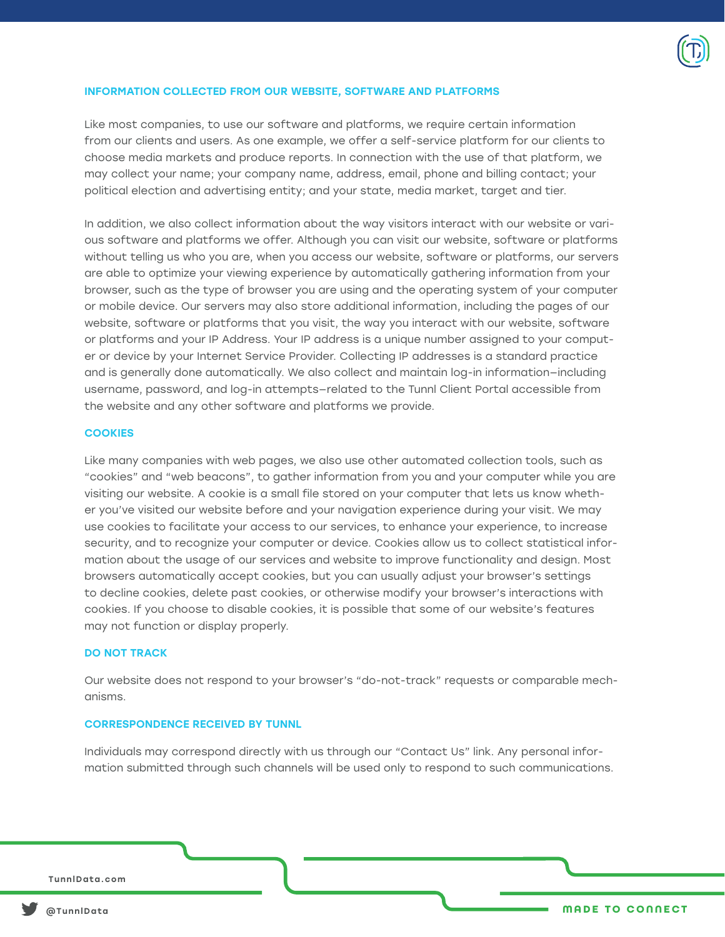

#### INFORMATION COLLECTED FROM OUR WEBSITE, SOFTWARE AND PLATFORMS

Like most companies, to use our software and platforms, we require certain information from our clients and users. As one example, we offer a self-service platform for our clients to choose media markets and produce reports. In connection with the use of that platform, we may collect your name; your company name, address, email, phone and billing contact; your political election and advertising entity; and your state, media market, target and tier.

In addition, we also collect information about the way visitors interact with our website or various software and platforms we offer. Although you can visit our website, software or platforms without telling us who you are, when you access our website, software or platforms, our servers are able to optimize your viewing experience by automatically gathering information from your browser, such as the type of browser you are using and the operating system of your computer or mobile device. Our servers may also store additional information, including the pages of our website, software or platforms that you visit, the way you interact with our website, software or platforms and your IP Address. Your IP address is a unique number assigned to your computer or device by your Internet Service Provider. Collecting IP addresses is a standard practice and is generally done automatically. We also collect and maintain log-in information—including username, password, and log-in attempts—related to the Tunnl Client Portal accessible from the website and any other software and platforms we provide.

#### **COOKIES**

Like many companies with web pages, we also use other automated collection tools, such as "cookies" and "web beacons", to gather information from you and your computer while you are visiting our website. A cookie is a small file stored on your computer that lets us know whether you've visited our website before and your navigation experience during your visit. We may use cookies to facilitate your access to our services, to enhance your experience, to increase security, and to recognize your computer or device. Cookies allow us to collect statistical information about the usage of our services and website to improve functionality and design. Most browsers automatically accept cookies, but you can usually adjust your browser's settings to decline cookies, delete past cookies, or otherwise modify your browser's interactions with cookies. If you choose to disable cookies, it is possible that some of our website's features may not function or display properly.

#### DO NOT TRACK

Our website does not respond to your browser's "do-not-track" requests or comparable mechanisms.

#### CORRESPONDENCE RECEIVED BY TUNNL

Individuals may correspond directly with us through our "Contact Us" link. Any personal information submitted through such channels will be used only to respond to such communications.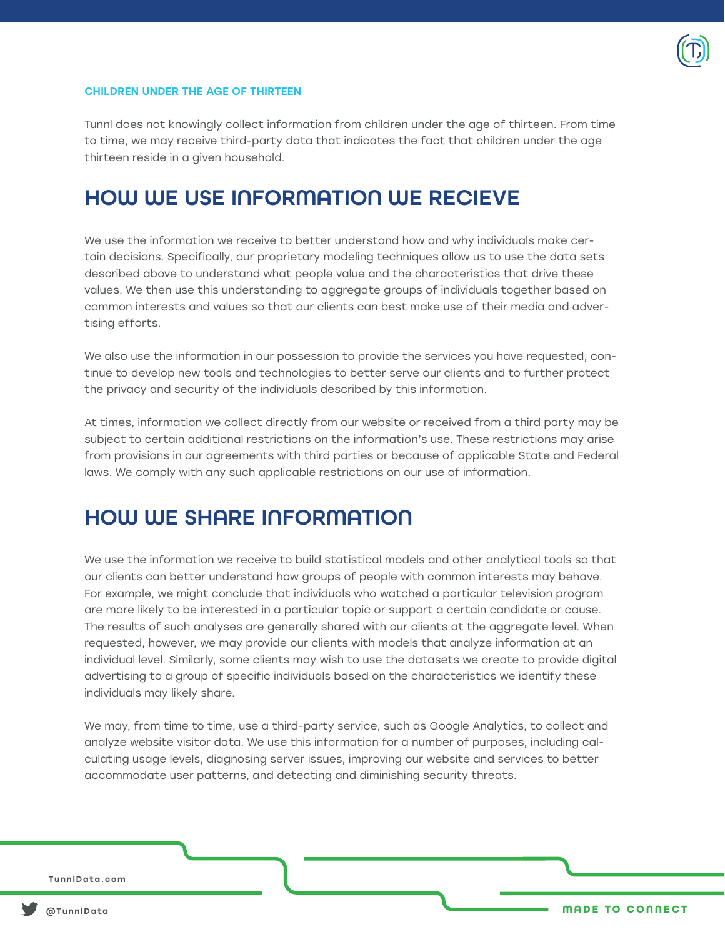

#### CHILDREN UNDER THE AGE OF THIRTEEN

Tunnl does not knowingly collect information from children under the age of thirteen. From time to time, we may receive third-party data that indicates the fact that children under the age thirteen reside in a given household.

### HOW WE USE INFORMATION WE RECIEVE

We use the information we receive to better understand how and why individuals make certain decisions. Specifically, our proprietary modeling techniques allow us to use the data sets described above to understand what people value and the characteristics that drive these values. We then use this understanding to aggregate groups of individuals together based on common interests and values so that our clients can best make use of their media and advertising efforts.

We also use the information in our possession to provide the services you have requested, continue to develop new tools and technologies to better serve our clients and to further protect the privacy and security of the individuals described by this information.

At times, information we collect directly from our website or received from a third party may be subject to certain additional restrictions on the information's use. These restrictions may arise from provisions in our agreements with third parties or because of applicable State and Federal laws. We comply with any such applicable restrictions on our use of information.

### HOW WE SHARE INFORMATION

We use the information we receive to build statistical models and other analytical tools so that our clients can better understand how groups of people with common interests may behave. For example, we might conclude that individuals who watched a particular television program are more likely to be interested in a particular topic or support a certain candidate or cause. The results of such analyses are generally shared with our clients at the aggregate level. When requested, however, we may provide our clients with models that analyze information at an individual level. Similarly, some clients may wish to use the datasets we create to provide digital advertising to a group of specific individuals based on the characteristics we identify these individuals may likely share.

We may, from time to time, use a third-party service, such as Google Analytics, to collect and analyze website visitor data. We use this information for a number of purposes, including calculating usage levels, diagnosing server issues, improving our website and services to better accommodate user patterns, and detecting and diminishing security threats.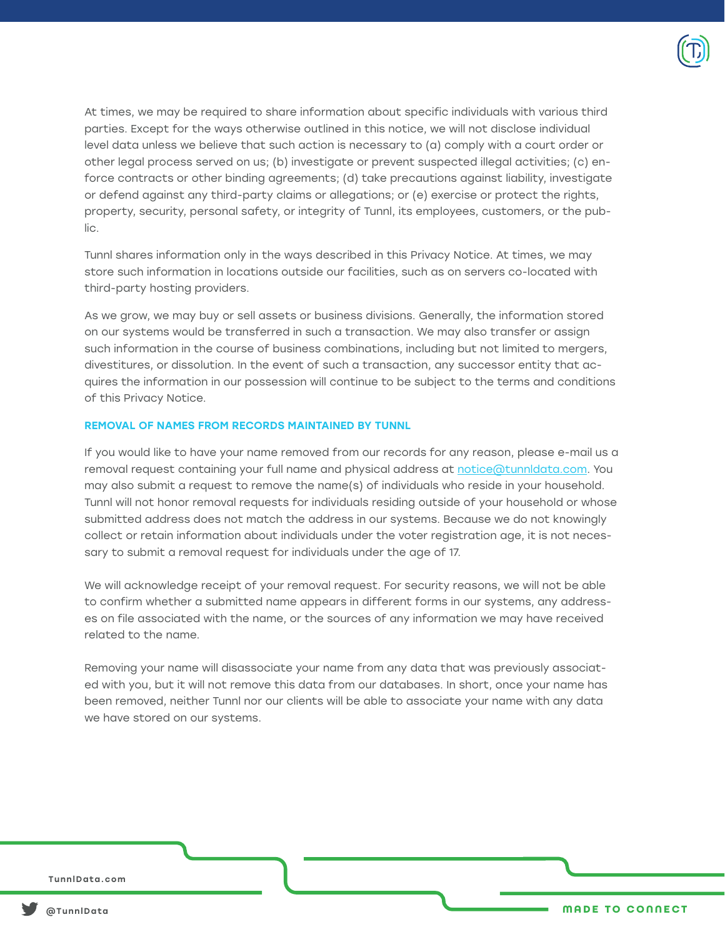

At times, we may be required to share information about specific individuals with various third parties. Except for the ways otherwise outlined in this notice, we will not disclose individual level data unless we believe that such action is necessary to (a) comply with a court order or other legal process served on us; (b) investigate or prevent suspected illegal activities; (c) enforce contracts or other binding agreements; (d) take precautions against liability, investigate or defend against any third-party claims or allegations; or (e) exercise or protect the rights, property, security, personal safety, or integrity of Tunnl, its employees, customers, or the public.

Tunnl shares information only in the ways described in this Privacy Notice. At times, we may store such information in locations outside our facilities, such as on servers co-located with third-party hosting providers.

As we grow, we may buy or sell assets or business divisions. Generally, the information stored on our systems would be transferred in such a transaction. We may also transfer or assign such information in the course of business combinations, including but not limited to mergers, divestitures, or dissolution. In the event of such a transaction, any successor entity that acquires the information in our possession will continue to be subject to the terms and conditions of this Privacy Notice.

#### REMOVAL OF NAMES FROM RECORDS MAINTAINED BY TUNNL

If you would like to have your name removed from our records for any reason, please e-mail us a removal request containing your full name and physical address at notice@tunnldata.com. You may also submit a request to remove the name(s) of individuals who reside in your household. Tunnl will not honor removal requests for individuals residing outside of your household or whose submitted address does not match the address in our systems. Because we do not knowingly collect or retain information about individuals under the voter registration age, it is not necessary to submit a removal request for individuals under the age of 17.

We will acknowledge receipt of your removal request. For security reasons, we will not be able to confirm whether a submitted name appears in different forms in our systems, any addresses on file associated with the name, or the sources of any information we may have received related to the name.

Removing your name will disassociate your name from any data that was previously associated with you, but it will not remove this data from our databases. In short, once your name has been removed, neither Tunnl nor our clients will be able to associate your name with any data we have stored on our systems.